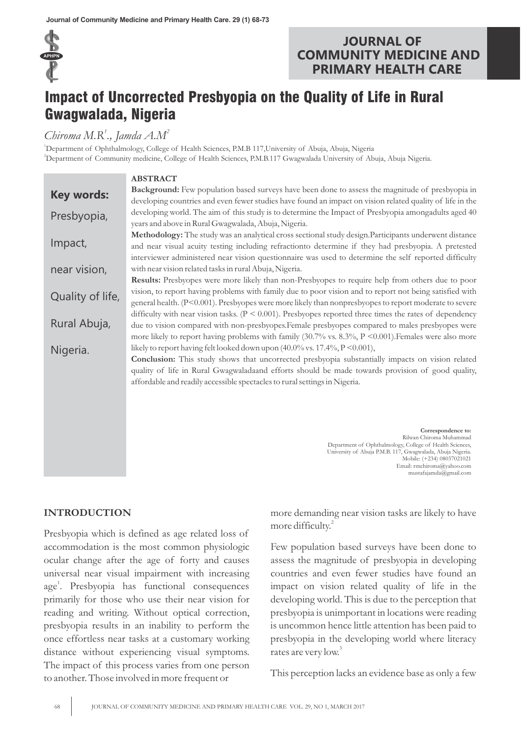

## **JOURNAL OF COMMUNITY MEDICINE AND PRIMARY HEALTH CARE**

# Impact of Uncorrected Presbyopia on the Quality of Life in Rural Gwagwalada, Nigeria

## *1 2 Chiroma M.R ., Jamda A.M*

<sup>1</sup>Department of Ophthalmology, College of Health Sciences, P.M.B 117,University of Abuja, Abuja, Nigeria <sup>2</sup>Department of Community medicine, College of Health Sciences, P.M.B.117 Gwagwalada University of Abuja, Abuja Nigeria.

|                   | <b>ABSTRACT</b>                                                                                                       |  |  |  |  |  |
|-------------------|-----------------------------------------------------------------------------------------------------------------------|--|--|--|--|--|
| <b>Key words:</b> | Background: Few population based surveys have been done to assess the magnitude of presbyopia in                      |  |  |  |  |  |
|                   | developing countries and even fewer studies have found an impact on vision related quality of life in the             |  |  |  |  |  |
| Presbyopia,       | developing world. The aim of this study is to determine the Impact of Presbyopia amongadults aged 40                  |  |  |  |  |  |
|                   | years and above in Rural Gwagwalada, Abuja, Nigeria.                                                                  |  |  |  |  |  |
|                   | Methodology: The study was an analytical cross sectional study design. Participants underwent distance                |  |  |  |  |  |
| Impact,           | and near visual acuity testing including refractionto determine if they had presbyopia. A pretested                   |  |  |  |  |  |
|                   | interviewer administered near vision questionnaire was used to determine the self reported difficulty                 |  |  |  |  |  |
| near vision,      | with near vision related tasks in rural Abuja, Nigeria.                                                               |  |  |  |  |  |
|                   | Results: Presbyopes were more likely than non-Presbyopes to require help from others due to poor                      |  |  |  |  |  |
| Quality of life,  | vision, to report having problems with family due to poor vision and to report not being satisfied with               |  |  |  |  |  |
|                   | general health. (P<0.001). Presbyopes were more likely than nonpresbyopes to report moderate to severe                |  |  |  |  |  |
|                   | difficulty with near vision tasks. $(P < 0.001)$ . Presbyopes reported three times the rates of dependency            |  |  |  |  |  |
| Rural Abuja,      | due to vision compared with non-presbyopes.Female presbyopes compared to males presbyopes were                        |  |  |  |  |  |
|                   | more likely to report having problems with family $(30.7\% \text{ vs. } 8.3\%, P \le 0.001)$ . Females were also more |  |  |  |  |  |
| Nigeria.          | likely to report having felt looked down upon (40.0% vs. 17.4%, P < 0.001),                                           |  |  |  |  |  |
|                   | <b>Conclusion:</b> This study shows that uncorrected presbyopia substantially impacts on vision related               |  |  |  |  |  |
|                   | quality of life in Rural Gwagwaladaand efforts should be made towards provision of good quality,                      |  |  |  |  |  |
|                   | affordable and readily accessible spectacles to rural settings in Nigeria.                                            |  |  |  |  |  |
|                   |                                                                                                                       |  |  |  |  |  |
|                   |                                                                                                                       |  |  |  |  |  |
|                   |                                                                                                                       |  |  |  |  |  |
|                   | Correspondence to:<br>Rilwan Chiroma Muhammad                                                                         |  |  |  |  |  |
|                   | Department of Ophthalmology, College of Health Sciences,                                                              |  |  |  |  |  |
|                   | University of Abuja P.M.B. 117, Gwagwalada, Abuja Nigeria.<br>Mobile: (+234) 08037021021                              |  |  |  |  |  |
|                   | Email: rmchiroma@yahoo.com                                                                                            |  |  |  |  |  |

#### **INTRODUCTION**

Presbyopia which is defined as age related loss of accommodation is the most common physiologic ocular change after the age of forty and causes universal near visual impairment with increasing age<sup>1</sup>. Presbyopia has functional consequences primarily for those who use their near vision for reading and writing. Without optical correction, presbyopia results in an inability to perform the once effortless near tasks at a customary working distance without experiencing visual symptoms. The impact of this process varies from one person to another. Those involved in more frequent or

more demanding near vision tasks are likely to have more difficulty.<sup>2</sup>

mustafajamda@gmail.com

Few population based surveys have been done to assess the magnitude of presbyopia in developing countries and even fewer studies have found an impact on vision related quality of life in the developing world. This is due to the perception that presbyopia is unimportant in locations were reading is uncommon hence little attention has been paid to presbyopia in the developing world where literacy rates are very low.<sup>3</sup>

This perception lacks an evidence base as only a few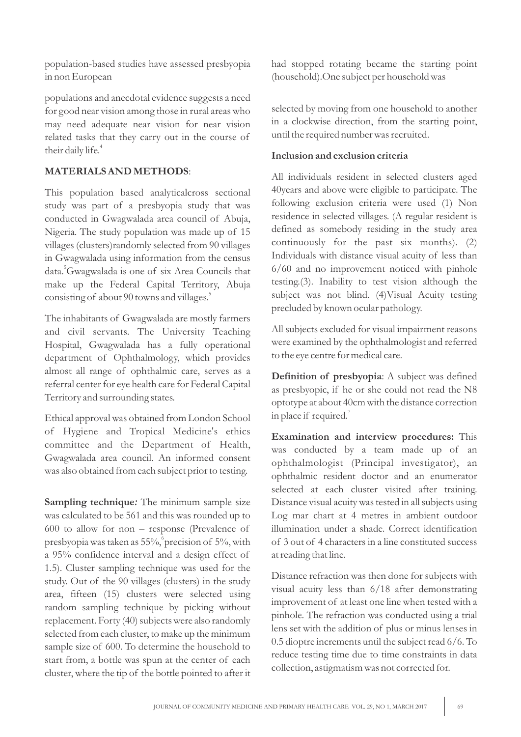population-based studies have assessed presbyopia in non European

populations and anecdotal evidence suggests a need for good near vision among those in rural areas who may need adequate near vision for near vision related tasks that they carry out in the course of their daily life.<sup>4</sup>

#### **MATERIALS AND METHODS**:

This population based analyticalcross sectional study was part of a presbyopia study that was conducted in Gwagwalada area council of Abuja, Nigeria. The study population was made up of 15 villages (clusters)randomly selected from 90 villages in Gwagwalada using information from the census data.<sup>5</sup>Gwagwalada is one of six Area Councils that make up the Federal Capital Territory, Abuja 5 consisting of about 90 towns and villages.

The inhabitants of Gwagwalada are mostly farmers and civil servants. The University Teaching Hospital, Gwagwalada has a fully operational department of Ophthalmology, which provides almost all range of ophthalmic care, serves as a referral center for eye health care for Federal Capital Territory and surrounding states.

Ethical approval was obtained from London School of Hygiene and Tropical Medicine's ethics committee and the Department of Health, Gwagwalada area council. An informed consent was also obtained from each subject prior to testing.

**Sampling technique***:* The minimum sample size was calculated to be 561 and this was rounded up to 600 to allow for non – response (Prevalence of presbyopia was taken as  $55\%$ , precision of  $5\%$ , with a 95% confidence interval and a design effect of 1.5). Cluster sampling technique was used for the study. Out of the 90 villages (clusters) in the study area, fifteen (15) clusters were selected using random sampling technique by picking without replacement. Forty (40) subjects were also randomly selected from each cluster, to make up the minimum sample size of 600. To determine the household to start from, a bottle was spun at the center of each cluster, where the tip of the bottle pointed to after it

had stopped rotating became the starting point (household).One subject per household was

selected by moving from one household to another in a clockwise direction, from the starting point, until the required number was recruited.

#### **Inclusion and exclusion criteria**

All individuals resident in selected clusters aged 40years and above were eligible to participate. The following exclusion criteria were used (1) Non residence in selected villages. (A regular resident is defined as somebody residing in the study area continuously for the past six months). (2) Individuals with distance visual acuity of less than 6/60 and no improvement noticed with pinhole testing.(3). Inability to test vision although the subject was not blind. (4)Visual Acuity testing precluded by known ocular pathology.

All subjects excluded for visual impairment reasons were examined by the ophthalmologist and referred to the eye centre for medical care.

**Definition of presbyopia**: A subject was defined as presbyopic, if he or she could not read the N8 optotype at about 40cm with the distance correction in place if required.<sup>7</sup>

**Examination and interview procedures:** This was conducted by a team made up of an ophthalmologist (Principal investigator), an ophthalmic resident doctor and an enumerator selected at each cluster visited after training. Distance visual acuity was tested in all subjects using Log mar chart at 4 metres in ambient outdoor illumination under a shade. Correct identification of 3 out of 4 characters in a line constituted success at reading that line.

Distance refraction was then done for subjects with visual acuity less than 6/18 after demonstrating improvement of at least one line when tested with a pinhole. The refraction was conducted using a trial lens set with the addition of plus or minus lenses in 0.5 dioptre increments until the subject read 6/6. To reduce testing time due to time constraints in data collection, astigmatism was not corrected for.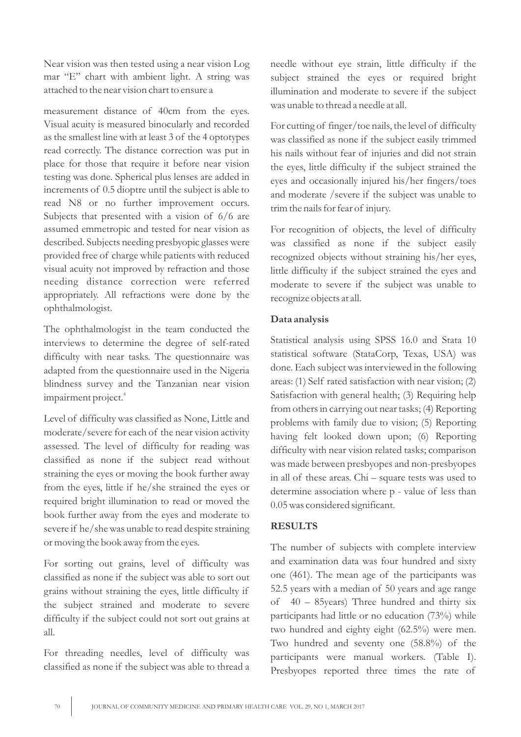Near vision was then tested using a near vision Log mar "E" chart with ambient light. A string was attached to the near vision chart to ensure a

measurement distance of 40cm from the eyes. Visual acuity is measured binocularly and recorded as the smallest line with at least 3 of the 4 optotypes read correctly. The distance correction was put in place for those that require it before near vision testing was done. Spherical plus lenses are added in increments of 0.5 dioptre until the subject is able to read N8 or no further improvement occurs. Subjects that presented with a vision of 6/6 are assumed emmetropic and tested for near vision as described. Subjects needing presbyopic glasses were provided free of charge while patients with reduced visual acuity not improved by refraction and those needing distance correction were referred appropriately. All refractions were done by the ophthalmologist.

The ophthalmologist in the team conducted the interviews to determine the degree of self-rated difficulty with near tasks. The questionnaire was adapted from the questionnaire used in the Nigeria blindness survey and the Tanzanian near vision 4 impairment project.

Level of difficulty was classified as None, Little and moderate/severe for each of the near vision activity assessed. The level of difficulty for reading was classified as none if the subject read without straining the eyes or moving the book further away from the eyes, little if he/she strained the eyes or required bright illumination to read or moved the book further away from the eyes and moderate to severe if he/she was unable to read despite straining or moving the book away from the eyes.

For sorting out grains, level of difficulty was classified as none if the subject was able to sort out grains without straining the eyes, little difficulty if the subject strained and moderate to severe difficulty if the subject could not sort out grains at all.

For threading needles, level of difficulty was classified as none if the subject was able to thread a needle without eye strain, little difficulty if the subject strained the eyes or required bright illumination and moderate to severe if the subject was unable to thread a needle at all.

For cutting of finger/toe nails, the level of difficulty was classified as none if the subject easily trimmed his nails without fear of injuries and did not strain the eyes, little difficulty if the subject strained the eyes and occasionally injured his/her fingers/toes and moderate /severe if the subject was unable to trim the nails for fear of injury.

For recognition of objects, the level of difficulty was classified as none if the subject easily recognized objects without straining his/her eyes, little difficulty if the subject strained the eyes and moderate to severe if the subject was unable to recognize objects at all.

#### **Data analysis**

Statistical analysis using SPSS 16.0 and Stata 10 statistical software (StataCorp, Texas, USA) was done. Each subject was interviewed in the following areas: (1) Self rated satisfaction with near vision; (2) Satisfaction with general health; (3) Requiring help from others in carrying out near tasks; (4) Reporting problems with family due to vision; (5) Reporting having felt looked down upon; (6) Reporting difficulty with near vision related tasks; comparison was made between presbyopes and non-presbyopes in all of these areas. Chi – square tests was used to determine association where p - value of less than 0.05 was considered significant.

#### **RESULTS**

The number of subjects with complete interview and examination data was four hundred and sixty one (461). The mean age of the participants was 52.5 years with a median of 50 years and age range of 40 – 85years) Three hundred and thirty six participants had little or no education (73%) while two hundred and eighty eight (62.5%) were men. Two hundred and seventy one (58.8%) of the participants were manual workers. (Table I). Presbyopes reported three times the rate of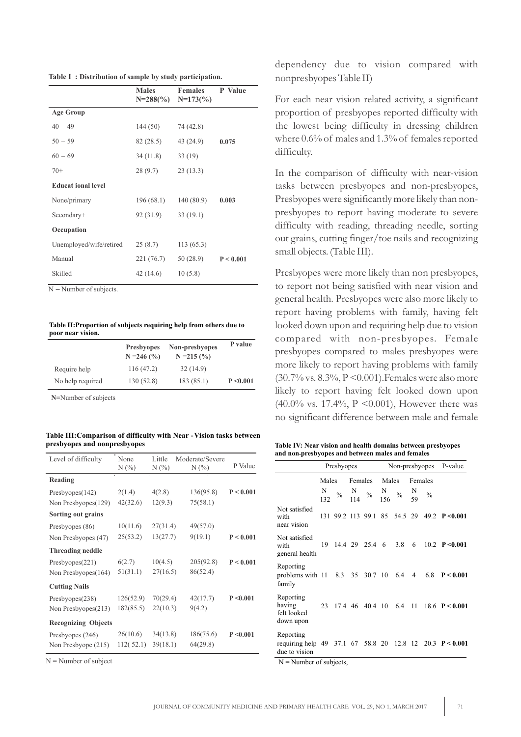**Table I : Distribution of sample by study participation.**

|                           | <b>Males</b><br>$N=288(%)$ | <b>Females</b><br>$N=173(%)$ | P Value   |
|---------------------------|----------------------------|------------------------------|-----------|
| <b>Age Group</b>          |                            |                              |           |
| $40 - 49$                 | 144(50)                    | 74 (42.8)                    |           |
| $50 - 59$                 | 82 (28.5)                  | 43 (24.9)                    | 0.075     |
| $60 - 69$                 | 34(11.8)<br>33(19)         |                              |           |
| $70+$                     | 28(9.7)                    | 23(13.3)                     |           |
| <b>Educat ional level</b> |                            |                              |           |
| None/primary              | 196(68.1)                  | 140 (80.9)                   | 0.003     |
| Secondary+                | 92 (31.9)                  | 33(19.1)                     |           |
| Occupation                |                            |                              |           |
| Unemployed/wife/retired   | 25(8.7)                    | 113(65.3)                    |           |
| Manual                    | 221 (76.7)                 | 50 (28.9)                    | P < 0.001 |
| Skilled                   | 42(14.6)                   | 10(5.8)                      |           |

N **–** Number of subjects.

**Table II:Proportion of subjects requiring help from others due to poor near vision.**

|                  | <b>Presbyopes</b><br>$N = 246$ (%) | Non-presbyopes<br>$N = 215$ (%) | P value   |
|------------------|------------------------------------|---------------------------------|-----------|
| Require help     | 116 (47.2)                         | 32(14.9)                        |           |
| No help required | 130(52.8)                          | 183(85.1)                       | P < 0.001 |

**N=**Number of subjects

#### Table III: Comparison of difficulty with Near - Vision tasks between **presbyopes and nonpresbyopes**

| Level of difficulty        | None<br>$N(\%)$ | Little<br>$N(\%)$ | Moderate/Severe<br>$N(\%)$ | P Value   |
|----------------------------|-----------------|-------------------|----------------------------|-----------|
| Reading                    |                 |                   |                            |           |
| Presbyopes(142)            | 2(1.4)          | 4(2.8)            | 136(95.8)                  | P < 0.001 |
| Non Presbyopes(129)        | 42(32.6)        | 12(9.3)           | 75(58.1)                   |           |
| Sorting out grains         |                 |                   |                            |           |
| Presbyopes (86)            | 10(11.6)        | 27(31.4)          | 49(57.0)                   |           |
| Non Presbyopes (47)        | 25(53.2)        | 13(27.7)          | 9(19.1)                    | P < 0.001 |
| <b>Threading neddle</b>    |                 |                   |                            |           |
| Presbyopes(221)            | 6(2.7)          | 10(4.5)           | 205(92.8)                  | P < 0.001 |
| Non Presbyopes(164)        | 51(31.1)        | 27(16.5)          | 86(52.4)                   |           |
| <b>Cutting Nails</b>       |                 |                   |                            |           |
| Presbyopes(238)            | 126(52.9)       | 70(29.4)          | 42(17.7)                   | P < 0.001 |
| Non Presbyopes(213)        | 182(85.5)       | 22(10.3)          | 9(4.2)                     |           |
| <b>Recognizing Objects</b> |                 |                   |                            |           |
| Presbyopes (246)           | 26(10.6)        | 34(13.8)          | 186(75.6)                  | P < 0.001 |
| Non Presbyope (215)        | 112(52.1)       | 39(18.1)          | 64(29.8)                   |           |

 $N =$  Number of subject

dependency due to vision compared with nonpresbyopes Table II)

For each near vision related activity, a significant proportion of presbyopes reported difficulty with the lowest being difficulty in dressing children where 0.6% of males and 1.3% of females reported difficulty.

In the comparison of difficulty with near-vision tasks between presbyopes and non-presbyopes, Presbyopes were significantly more likely than nonpresbyopes to report having moderate to severe difficulty with reading, threading needle, sorting out grains, cutting finger/toe nails and recognizing small objects. (Table III).

Presbyopes were more likely than non presbyopes, to report not being satisfied with near vision and general health. Presbyopes were also more likely to report having problems with family, having felt looked down upon and requiring help due to vision compared with non-presbyopes. Female presbyopes compared to males presbyopes were more likely to report having problems with family (30.7% vs. 8.3%, P <0.001).Females were also more likely to report having felt looked down upon (40.0% vs. 17.4%, P <0.001), However there was no significant difference between male and female

**Table IV: Near vision and health domains between presbyopes and non-presbyopes and between males and females**

|                                                                                                  | Presbyopes |  |         |                              | Non-presbyopes P-value |  |         |               |                                                    |
|--------------------------------------------------------------------------------------------------|------------|--|---------|------------------------------|------------------------|--|---------|---------------|----------------------------------------------------|
|                                                                                                  | Males      |  | Females |                              | Males                  |  | Females |               |                                                    |
|                                                                                                  | N<br>132   |  |         | % N % N % N N 56             |                        |  |         | $\frac{0}{0}$ |                                                    |
| Not satisfied<br>with<br>near vision                                                             |            |  |         | 131 99.2 113 99.1 85 54.5 29 |                        |  |         |               | 49.2 $P \le 0.001$                                 |
| Not satisfied<br>with<br>general health                                                          |            |  |         | 19 14.4 29 25.4 6 3.8 6      |                        |  |         |               | 10.2 $P \le 0.001$                                 |
| Reporting<br>problems with 11 8.3 35 30.7 10 6.4 4 6.8 <b>P &lt; 0.001</b><br>family             |            |  |         |                              |                        |  |         |               |                                                    |
| Reporting<br>having<br>felt looked<br>down upon                                                  |            |  |         |                              |                        |  |         |               | 23 17.4 46 40.4 10 6.4 11 18.6 <b>P &lt; 0.001</b> |
| Reporting<br>requiring help 49 37.1 67 58.8 20 12.8 12 20.3 <b>P &lt; 0.001</b><br>due to vision |            |  |         |                              |                        |  |         |               |                                                    |

 $N =$  Number of subjects,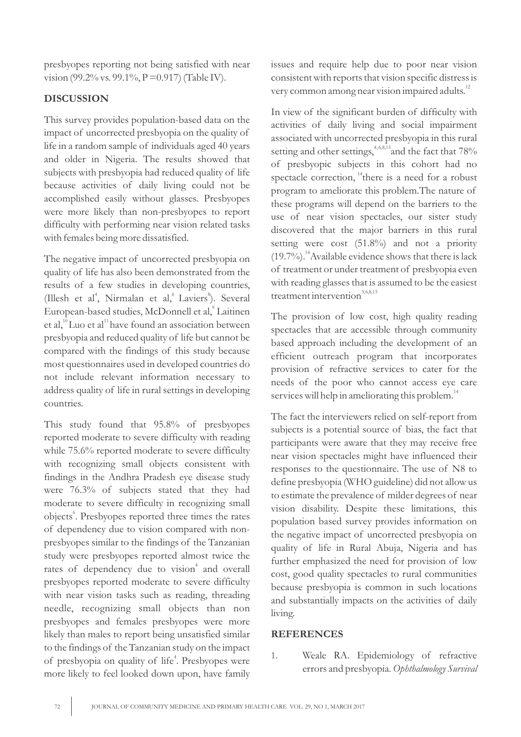presbyopes reporting not being satisfied with near vision (99.2% vs. 99.1%,  $P = 0.917$ ) (Table IV).

### **DISCUSSION**

This survey provides population-based data on the impact of uncorrected presbyopia on the quality of life in a random sample of individuals aged 40 years and older in Nigeria. The results showed that subjects with presbyopia had reduced quality of life because activities of daily living could not be accomplished easily without glasses. Presbyopes were more likely than non-presbyopes to report difficulty with performing near vision related tasks with females being more dissatisfied.

The negative impact of uncorrected presbyopia on quality of life has also been demonstrated from the results of a few studies in developing countries, (Illesh et al<sup>4</sup>, Nirmalan et al,<sup>6</sup> Laviers<sup>8</sup>). Several European-based studies, McDonnell et al,<sup>9</sup> Laitinen et al, $\rm u_{\rm L}^{10}$  Luo et al $\rm u_{\rm L}^{11}$  have found an association between presbyopia and reduced quality of life but cannot be compared with the findings of this study because most questionnaires used in developed countries do not include relevant information necessary to address quality of life in rural settings in developing countries.

This study found that 95.8% of presbyopes reported moderate to severe difficulty with reading while 75.6% reported moderate to severe difficulty with recognizing small objects consistent with findings in the Andhra Pradesh eye disease study were 76.3% of subjects stated that they had moderate to severe difficulty in recognizing small objects<sup>6</sup>. Presbyopes reported three times the rates of dependency due to vision compared with nonpresbyopes similar to the findings of the Tanzanian study were presbyopes reported almost twice the rates of dependency due to vision<sup>4</sup> and overall presbyopes reported moderate to severe difficulty with near vision tasks such as reading, threading needle, recognizing small objects than non presbyopes and females presbyopes were more likely than males to report being unsatisfied similar to the findings of the Tanzanian study on the impact of presbyopia on quality of life<sup>4</sup>. Presbyopes were more likely to feel looked down upon, have family

issues and require help due to poor near vision consistent with reports that vision specific distress is very common among near vision impaired adults.<sup>12</sup>

In view of the significant burden of difficulty with activities of daily living and social impairment associated with uncorrected presbyopia in this rural setting and other settings,  $4, 6, 8, 13$  and the fact that 78% of presbyopic subjects in this cohort had no spectacle correction,  $i<sup>4</sup>$  there is a need for a robust program to ameliorate this problem.The nature of these programs will depend on the barriers to the use of near vision spectacles, our sister study discovered that the major barriers in this rural setting were cost (51.8%) and not a priority  $(19.7\%)$ <sup>14</sup> Available evidence shows that there is lack of treatment or under treatment of presbyopia even with reading glasses that is assumed to be the easiest  $t$ reatment intervention<sup>3,6,8,15</sup>

The provision of low cost, high quality reading spectacles that are accessible through community based approach including the development of an efficient outreach program that incorporates provision of refractive services to cater for the needs of the poor who cannot access eye care services will help in ameliorating this problem. $^{14}$ 

The fact the interviewers relied on self-report from subjects is a potential source of bias, the fact that participants were aware that they may receive free near vision spectacles might have influenced their responses to the questionnaire. The use of N8 to define presbyopia (WHO guideline) did not allow us to estimate the prevalence of milder degrees of near vision disability. Despite these limitations, this population based survey provides information on the negative impact of uncorrected presbyopia on quality of life in Rural Abuja, Nigeria and has further emphasized the need for provision of low cost, good quality spectacles to rural communities because presbyopia is common in such locations and substantially impacts on the activities of daily living.

#### **REFERENCES**

1. Weale RA. Epidemiology of refractive errors and presbyopia. *Ophthalmology Survival*